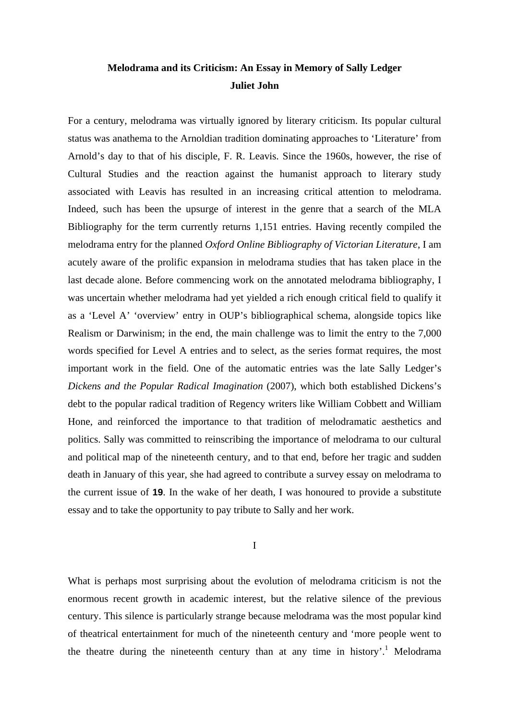# **Melodrama and its Criticism: An Essay in Memory of Sally Ledger Juliet John**

For a century, melodrama was virtually ignored by literary criticism. Its popular cultural status was anathema to the Arnoldian tradition dominating approaches to 'Literature' from Arnold's day to that of his disciple, F. R. Leavis. Since the 1960s, however, the rise of Cultural Studies and the reaction against the humanist approach to literary study associated with Leavis has resulted in an increasing critical attention to melodrama. Indeed, such has been the upsurge of interest in the genre that a search of the MLA Bibliography for the term currently returns 1,151 entries. Having recently compiled the melodrama entry for the planned *Oxford Online Bibliography of Victorian Literature*, I am acutely aware of the prolific expansion in melodrama studies that has taken place in the last decade alone. Before commencing work on the annotated melodrama bibliography, I was uncertain whether melodrama had yet yielded a rich enough critical field to qualify it as a 'Level A' 'overview' entry in OUP's bibliographical schema, alongside topics like Realism or Darwinism; in the end, the main challenge was to limit the entry to the 7,000 words specified for Level A entries and to select, as the series format requires, the most important work in the field. One of the automatic entries was the late Sally Ledger's *Dickens and the Popular Radical Imagination* (2007), which both established Dickens's debt to the popular radical tradition of Regency writers like William Cobbett and William Hone, and reinforced the importance to that tradition of melodramatic aesthetics and politics. Sally was committed to reinscribing the importance of melodrama to our cultural and political map of the nineteenth century, and to that end, before her tragic and sudden death in January of this year, she had agreed to contribute a survey essay on melodrama to the current issue of **19**. In the wake of her death, I was honoured to provide a substitute essay and to take the opportunity to pay tribute to Sally and her work.

I

What is perhaps most surprising about the evolution of melodrama criticism is not the enormous recent growth in academic interest, but the relative silence of the previous century. This silence is particularly strange because melodrama was the most popular kind of theatrical entertainment for much of the nineteenth century and 'more people went to the theatre during the nineteenth century than at any time in history'.<sup>1</sup> Melodrama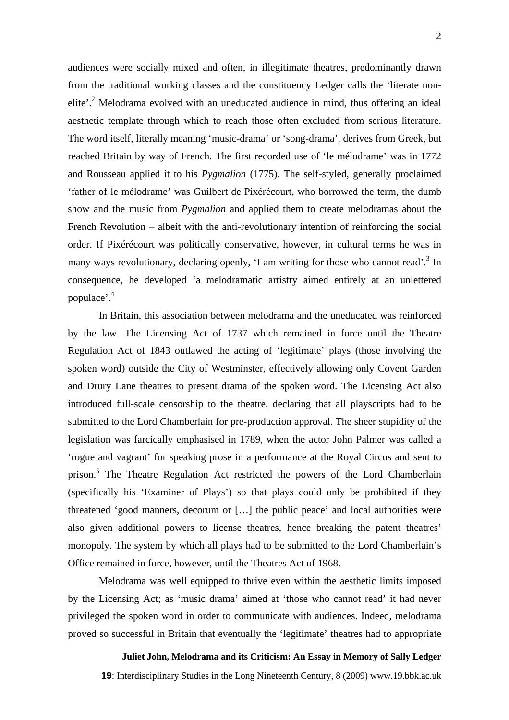audiences were socially mixed and often, in illegitimate theatres, predominantly drawn from the traditional working classes and the constituency Ledger calls the 'literate nonelite'.<sup>2</sup> Melodrama evolved with an uneducated audience in mind, thus offering an ideal aesthetic template through which to reach those often excluded from serious literature. The word itself, literally meaning 'music-drama' or 'song-drama', derives from Greek, but reached Britain by way of French. The first recorded use of 'le mélodrame' was in 1772 and Rousseau applied it to his *Pygmalion* (1775). The self-styled, generally proclaimed 'father of le mélodrame' was Guilbert de Pixérécourt, who borrowed the term, the dumb show and the music from *Pygmalion* and applied them to create melodramas about the French Revolution – albeit with the anti-revolutionary intention of reinforcing the social order. If Pixérécourt was politically conservative, however, in cultural terms he was in many ways revolutionary, declaring openly, 'I am writing for those who cannot read'.<sup>3</sup> In consequence, he developed 'a melodramatic artistry aimed entirely at an unlettered populace'.4

In Britain, this association between melodrama and the uneducated was reinforced by the law. The Licensing Act of 1737 which remained in force until the Theatre Regulation Act of 1843 outlawed the acting of 'legitimate' plays (those involving the spoken word) outside the City of Westminster, effectively allowing only Covent Garden and Drury Lane theatres to present drama of the spoken word. The Licensing Act also introduced full-scale censorship to the theatre, declaring that all playscripts had to be submitted to the Lord Chamberlain for pre-production approval. The sheer stupidity of the legislation was farcically emphasised in 1789, when the actor John Palmer was called a 'rogue and vagrant' for speaking prose in a performance at the Royal Circus and sent to prison.<sup>5</sup> The Theatre Regulation Act restricted the powers of the Lord Chamberlain (specifically his 'Examiner of Plays') so that plays could only be prohibited if they threatened 'good manners, decorum or […] the public peace' and local authorities were also given additional powers to license theatres, hence breaking the patent theatres' monopoly. The system by which all plays had to be submitted to the Lord Chamberlain's Office remained in force, however, until the Theatres Act of 1968.

Melodrama was well equipped to thrive even within the aesthetic limits imposed by the Licensing Act; as 'music drama' aimed at 'those who cannot read' it had never privileged the spoken word in order to communicate with audiences. Indeed, melodrama proved so successful in Britain that eventually the 'legitimate' theatres had to appropriate

**Juliet John, Melodrama and its Criticism: An Essay in Memory of Sally Ledger**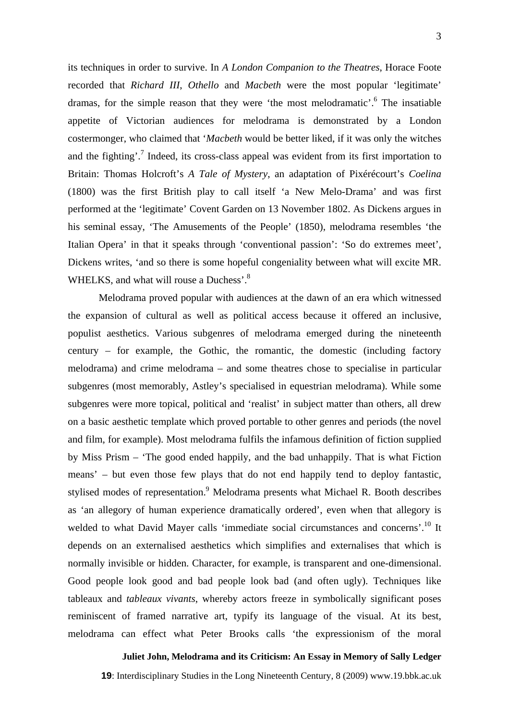its techniques in order to survive. In *A London Companion to the Theatres*, Horace Foote recorded that *Richard III*, *Othello* and *Macbeth* were the most popular 'legitimate' dramas, for the simple reason that they were 'the most melodramatic'.<sup>6</sup> The insatiable appetite of Victorian audiences for melodrama is demonstrated by a London costermonger, who claimed that '*Macbeth* would be better liked, if it was only the witches and the fighting'.<sup>7</sup> Indeed, its cross-class appeal was evident from its first importation to Britain: Thomas Holcroft's *A Tale of Mystery*, an adaptation of Pixérécourt's *Coelina*  (1800) was the first British play to call itself 'a New Melo-Drama' and was first performed at the 'legitimate' Covent Garden on 13 November 1802. As Dickens argues in his seminal essay, 'The Amusements of the People' (1850), melodrama resembles 'the Italian Opera' in that it speaks through 'conventional passion': 'So do extremes meet', Dickens writes, 'and so there is some hopeful congeniality between what will excite MR. WHELKS, and what will rouse a Duchess'.<sup>8</sup>

Melodrama proved popular with audiences at the dawn of an era which witnessed the expansion of cultural as well as political access because it offered an inclusive, populist aesthetics. Various subgenres of melodrama emerged during the nineteenth century – for example, the Gothic, the romantic, the domestic (including factory melodrama) and crime melodrama – and some theatres chose to specialise in particular subgenres (most memorably, Astley's specialised in equestrian melodrama). While some subgenres were more topical, political and 'realist' in subject matter than others, all drew on a basic aesthetic template which proved portable to other genres and periods (the novel and film, for example). Most melodrama fulfils the infamous definition of fiction supplied by Miss Prism – 'The good ended happily, and the bad unhappily. That is what Fiction means' – but even those few plays that do not end happily tend to deploy fantastic, stylised modes of representation.<sup>9</sup> Melodrama presents what Michael R. Booth describes as 'an allegory of human experience dramatically ordered', even when that allegory is welded to what David Mayer calls 'immediate social circumstances and concerns'.<sup>10</sup> It depends on an externalised aesthetics which simplifies and externalises that which is normally invisible or hidden. Character, for example, is transparent and one-dimensional. Good people look good and bad people look bad (and often ugly). Techniques like tableaux and *tableaux vivants*, whereby actors freeze in symbolically significant poses reminiscent of framed narrative art, typify its language of the visual. At its best, melodrama can effect what Peter Brooks calls 'the expressionism of the moral

**Juliet John, Melodrama and its Criticism: An Essay in Memory of Sally Ledger**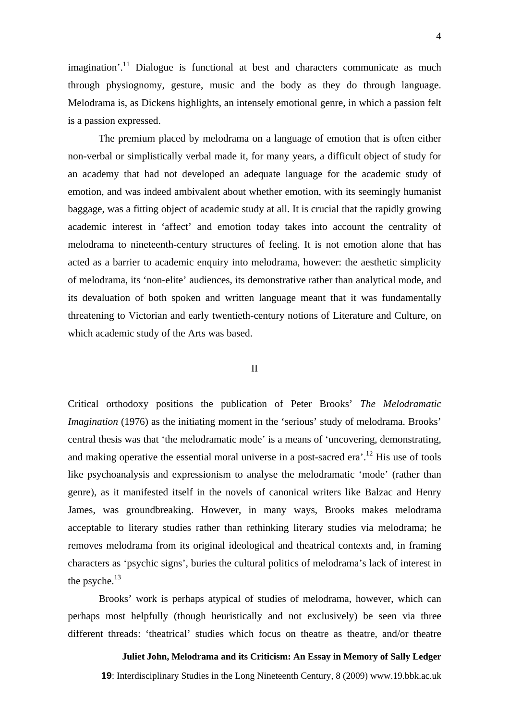4

 $imagination<sup>11</sup>$  Dialogue is functional at best and characters communicate as much through physiognomy, gesture, music and the body as they do through language. Melodrama is, as Dickens highlights, an intensely emotional genre, in which a passion felt is a passion expressed.

The premium placed by melodrama on a language of emotion that is often either non-verbal or simplistically verbal made it, for many years, a difficult object of study for an academy that had not developed an adequate language for the academic study of emotion, and was indeed ambivalent about whether emotion, with its seemingly humanist baggage, was a fitting object of academic study at all. It is crucial that the rapidly growing academic interest in 'affect' and emotion today takes into account the centrality of melodrama to nineteenth-century structures of feeling. It is not emotion alone that has acted as a barrier to academic enquiry into melodrama, however: the aesthetic simplicity of melodrama, its 'non-elite' audiences, its demonstrative rather than analytical mode, and its devaluation of both spoken and written language meant that it was fundamentally threatening to Victorian and early twentieth-century notions of Literature and Culture, on which academic study of the Arts was based.

### II

Critical orthodoxy positions the publication of Peter Brooks' *The Melodramatic Imagination* (1976) as the initiating moment in the 'serious' study of melodrama. Brooks' central thesis was that 'the melodramatic mode' is a means of 'uncovering, demonstrating, and making operative the essential moral universe in a post-sacred era'.<sup>12</sup> His use of tools like psychoanalysis and expressionism to analyse the melodramatic 'mode' (rather than genre), as it manifested itself in the novels of canonical writers like Balzac and Henry James, was groundbreaking. However, in many ways, Brooks makes melodrama acceptable to literary studies rather than rethinking literary studies via melodrama; he removes melodrama from its original ideological and theatrical contexts and, in framing characters as 'psychic signs', buries the cultural politics of melodrama's lack of interest in the psyche. $13$ 

Brooks' work is perhaps atypical of studies of melodrama, however, which can perhaps most helpfully (though heuristically and not exclusively) be seen via three different threads: 'theatrical' studies which focus on theatre as theatre, and/or theatre

**Juliet John, Melodrama and its Criticism: An Essay in Memory of Sally Ledger**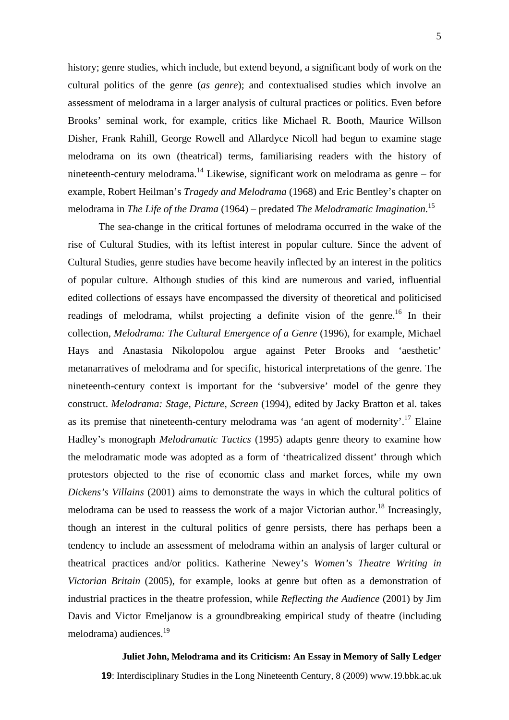history; genre studies, which include, but extend beyond, a significant body of work on the cultural politics of the genre (*as genre*); and contextualised studies which involve an assessment of melodrama in a larger analysis of cultural practices or politics. Even before Brooks' seminal work, for example, critics like Michael R. Booth, Maurice Willson Disher, Frank Rahill, George Rowell and Allardyce Nicoll had begun to examine stage melodrama on its own (theatrical) terms, familiarising readers with the history of nineteenth-century melodrama.<sup>14</sup> Likewise, significant work on melodrama as genre – for example, Robert Heilman's *Tragedy and Melodrama* (1968) and Eric Bentley's chapter on melodrama in *The Life of the Drama* (1964) – predated *The Melodramatic Imagination*. 15

The sea-change in the critical fortunes of melodrama occurred in the wake of the rise of Cultural Studies, with its leftist interest in popular culture. Since the advent of Cultural Studies, genre studies have become heavily inflected by an interest in the politics of popular culture. Although studies of this kind are numerous and varied, influential edited collections of essays have encompassed the diversity of theoretical and politicised readings of melodrama, whilst projecting a definite vision of the genre.<sup>16</sup> In their collection, *Melodrama: The Cultural Emergence of a Genre* (1996), for example, Michael Hays and Anastasia Nikolopolou argue against Peter Brooks and 'aesthetic' metanarratives of melodrama and for specific, historical interpretations of the genre. The nineteenth-century context is important for the 'subversive' model of the genre they construct. *Melodrama: Stage, Picture, Screen* (1994), edited by Jacky Bratton et al. takes as its premise that nineteenth-century melodrama was 'an agent of modernity'.<sup>17</sup> Elaine Hadley's monograph *Melodramatic Tactics* (1995) adapts genre theory to examine how the melodramatic mode was adopted as a form of 'theatricalized dissent' through which protestors objected to the rise of economic class and market forces, while my own *Dickens's Villains* (2001) aims to demonstrate the ways in which the cultural politics of melodrama can be used to reassess the work of a major Victorian author.<sup>18</sup> Increasingly, though an interest in the cultural politics of genre persists, there has perhaps been a tendency to include an assessment of melodrama within an analysis of larger cultural or theatrical practices and/or politics. Katherine Newey's *Women's Theatre Writing in Victorian Britain* (2005), for example, looks at genre but often as a demonstration of industrial practices in the theatre profession, while *Reflecting the Audience* (2001) by Jim Davis and Victor Emeljanow is a groundbreaking empirical study of theatre (including melodrama) audiences.<sup>19</sup>

### **Juliet John, Melodrama and its Criticism: An Essay in Memory of Sally Ledger**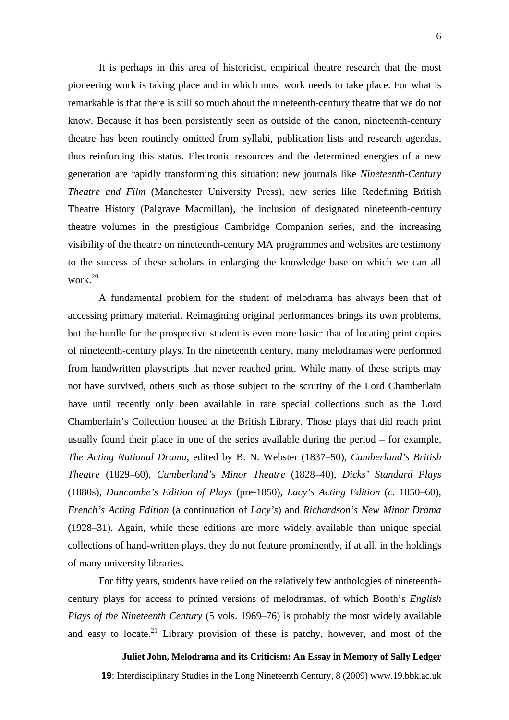It is perhaps in this area of historicist, empirical theatre research that the most pioneering work is taking place and in which most work needs to take place. For what is remarkable is that there is still so much about the nineteenth-century theatre that we do not know. Because it has been persistently seen as outside of the canon, nineteenth-century theatre has been routinely omitted from syllabi, publication lists and research agendas, thus reinforcing this status. Electronic resources and the determined energies of a new generation are rapidly transforming this situation: new journals like *Nineteenth-Century Theatre and Film* (Manchester University Press), new series like Redefining British Theatre History (Palgrave Macmillan), the inclusion of designated nineteenth-century theatre volumes in the prestigious Cambridge Companion series, and the increasing visibility of the theatre on nineteenth-century MA programmes and websites are testimony to the success of these scholars in enlarging the knowledge base on which we can all work.<sup>20</sup>

A fundamental problem for the student of melodrama has always been that of accessing primary material. Reimagining original performances brings its own problems, but the hurdle for the prospective student is even more basic: that of locating print copies of nineteenth-century plays. In the nineteenth century, many melodramas were performed from handwritten playscripts that never reached print. While many of these scripts may not have survived, others such as those subject to the scrutiny of the Lord Chamberlain have until recently only been available in rare special collections such as the Lord Chamberlain's Collection housed at the British Library. Those plays that did reach print usually found their place in one of the series available during the period – for example, *The Acting National Drama*, edited by B. N. Webster (1837–50), *Cumberland's British Theatre* (1829–60), *Cumberland's Minor Theatre* (1828–40), *Dicks' Standard Plays* (1880s), *Duncombe's Edition of Plays* (pre-1850), *Lacy's Acting Edition* (*c*. 1850–60), *French's Acting Edition* (a continuation of *Lacy's*) and *Richardson's New Minor Drama* (1928–31). Again, while these editions are more widely available than unique special collections of hand-written plays, they do not feature prominently, if at all, in the holdings of many university libraries.

For fifty years, students have relied on the relatively few anthologies of nineteenthcentury plays for access to printed versions of melodramas, of which Booth's *English Plays of the Nineteenth Century* (5 vols. 1969–76) is probably the most widely available and easy to locate.<sup>21</sup> Library provision of these is patchy, however, and most of the

**Juliet John, Melodrama and its Criticism: An Essay in Memory of Sally Ledger**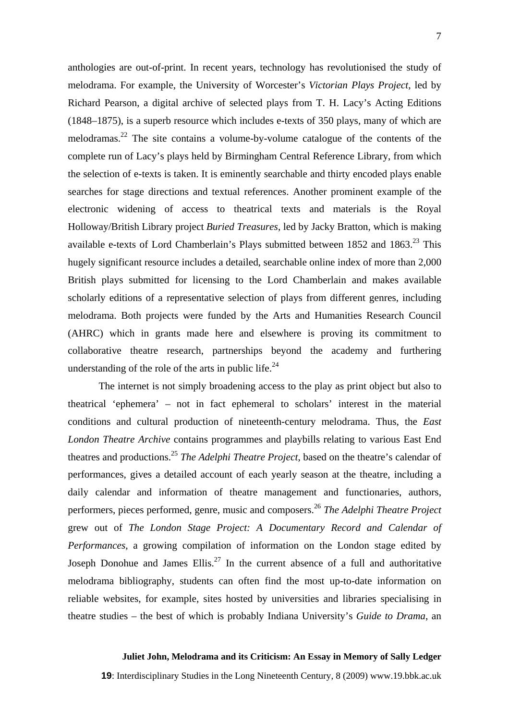anthologies are out-of-print. In recent years, technology has revolutionised the study of melodrama. For example, the University of Worcester's *Victorian Plays Project*, led by Richard Pearson, a digital archive of selected plays from T. H. Lacy's Acting Editions (1848–1875), is a superb resource which includes e-texts of 350 plays, many of which are melodramas.<sup>22</sup> The site contains a volume-by-volume catalogue of the contents of the complete run of Lacy's plays held by Birmingham Central Reference Library, from which the selection of e-texts is taken. It is eminently searchable and thirty encoded plays enable searches for stage directions and textual references. Another prominent example of the electronic widening of access to theatrical texts and materials is the Royal Holloway/British Library project *Buried Treasures*, led by Jacky Bratton, which is making available e-texts of Lord Chamberlain's Plays submitted between  $1852$  and  $1863$ <sup>23</sup> This hugely significant resource includes a detailed, searchable online index of more than 2,000 British plays submitted for licensing to the Lord Chamberlain and makes available scholarly editions of a representative selection of plays from different genres, including melodrama. Both projects were funded by the Arts and Humanities Research Council (AHRC) which in grants made here and elsewhere is proving its commitment to collaborative theatre research, partnerships beyond the academy and furthering understanding of the role of the arts in public life.<sup>24</sup>

The internet is not simply broadening access to the play as print object but also to theatrical 'ephemera' – not in fact ephemeral to scholars' interest in the material conditions and cultural production of nineteenth-century melodrama. Thus, the *East London Theatre Archive* contains programmes and playbills relating to various East End theatres and productions.25 *The Adelphi Theatre Project*, based on the theatre's calendar of performances, gives a detailed account of each yearly season at the theatre, including a daily calendar and information of theatre management and functionaries, authors, performers, pieces performed, genre, music and composers.26 *The Adelphi Theatre Project* grew out of *The London Stage Project: A Documentary Record and Calendar of Performances*, a growing compilation of information on the London stage edited by Joseph Donohue and James Ellis.<sup>27</sup> In the current absence of a full and authoritative melodrama bibliography, students can often find the most up-to-date information on reliable websites, for example, sites hosted by universities and libraries specialising in theatre studies – the best of which is probably Indiana University's *Guide to Drama*, an

### **Juliet John, Melodrama and its Criticism: An Essay in Memory of Sally Ledger**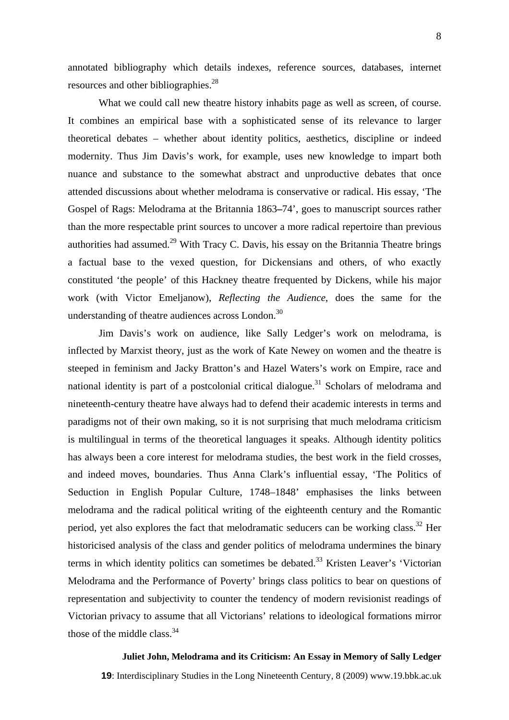annotated bibliography which details indexes, reference sources, databases, internet resources and other bibliographies.<sup>28</sup>

What we could call new theatre history inhabits page as well as screen, of course. It combines an empirical base with a sophisticated sense of its relevance to larger theoretical debates – whether about identity politics, aesthetics, discipline or indeed modernity. Thus Jim Davis's work, for example, uses new knowledge to impart both nuance and substance to the somewhat abstract and unproductive debates that once attended discussions about whether melodrama is conservative or radical. His essay, 'The Gospel of Rags: Melodrama at the Britannia 1863–74', goes to manuscript sources rather than the more respectable print sources to uncover a more radical repertoire than previous authorities had assumed.<sup>29</sup> With Tracy C. Davis, his essay on the Britannia Theatre brings a factual base to the vexed question, for Dickensians and others, of who exactly constituted 'the people' of this Hackney theatre frequented by Dickens, while his major work (with Victor Emeljanow), *Reflecting the Audience*, does the same for the understanding of theatre audiences across London.<sup>30</sup>

Jim Davis's work on audience, like Sally Ledger's work on melodrama, is inflected by Marxist theory, just as the work of Kate Newey on women and the theatre is steeped in feminism and Jacky Bratton's and Hazel Waters's work on Empire, race and national identity is part of a postcolonial critical dialogue.<sup>31</sup> Scholars of melodrama and nineteenth-century theatre have always had to defend their academic interests in terms and paradigms not of their own making, so it is not surprising that much melodrama criticism is multilingual in terms of the theoretical languages it speaks. Although identity politics has always been a core interest for melodrama studies, the best work in the field crosses, and indeed moves, boundaries. Thus Anna Clark's influential essay, 'The Politics of Seduction in English Popular Culture, 1748–1848' emphasises the links between melodrama and the radical political writing of the eighteenth century and the Romantic period, yet also explores the fact that melodramatic seducers can be working class.<sup>32</sup> Her historicised analysis of the class and gender politics of melodrama undermines the binary terms in which identity politics can sometimes be debated.<sup>33</sup> Kristen Leaver's 'Victorian Melodrama and the Performance of Poverty' brings class politics to bear on questions of representation and subjectivity to counter the tendency of modern revisionist readings of Victorian privacy to assume that all Victorians' relations to ideological formations mirror those of the middle class. $34$ 

### **Juliet John, Melodrama and its Criticism: An Essay in Memory of Sally Ledger**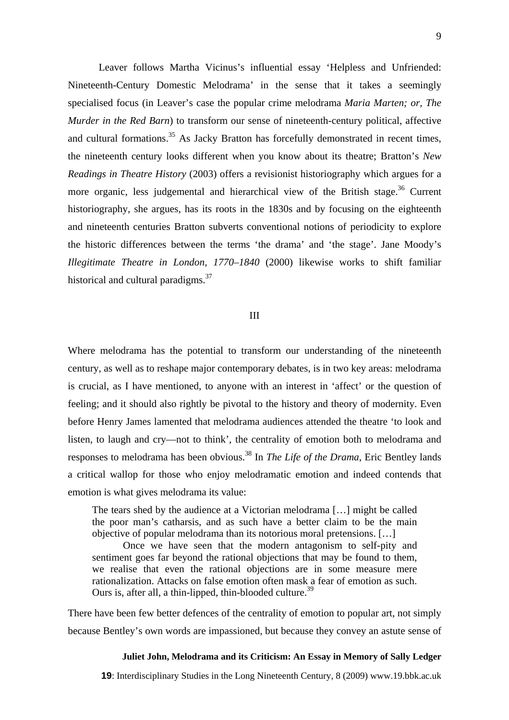Leaver follows Martha Vicinus's influential essay 'Helpless and Unfriended: Nineteenth-Century Domestic Melodrama' in the sense that it takes a seemingly specialised focus (in Leaver's case the popular crime melodrama *Maria Marten; or, The Murder in the Red Barn*) to transform our sense of nineteenth-century political, affective and cultural formations.<sup>35</sup> As Jacky Bratton has forcefully demonstrated in recent times, the nineteenth century looks different when you know about its theatre; Bratton's *New Readings in Theatre History* (2003) offers a revisionist historiography which argues for a more organic, less judgemental and hierarchical view of the British stage.<sup>36</sup> Current historiography, she argues, has its roots in the 1830s and by focusing on the eighteenth and nineteenth centuries Bratton subverts conventional notions of periodicity to explore the historic differences between the terms 'the drama' and 'the stage'. Jane Moody's *Illegitimate Theatre in London, 1770–1840* (2000) likewise works to shift familiar historical and cultural paradigms.<sup>37</sup>

#### III

Where melodrama has the potential to transform our understanding of the nineteenth century, as well as to reshape major contemporary debates, is in two key areas: melodrama is crucial, as I have mentioned, to anyone with an interest in 'affect' or the question of feeling; and it should also rightly be pivotal to the history and theory of modernity. Even before Henry James lamented that melodrama audiences attended the theatre 'to look and listen, to laugh and cry—not to think', the centrality of emotion both to melodrama and responses to melodrama has been obvious.<sup>38</sup> In *The Life of the Drama*, Eric Bentley lands a critical wallop for those who enjoy melodramatic emotion and indeed contends that emotion is what gives melodrama its value:

The tears shed by the audience at a Victorian melodrama […] might be called the poor man's catharsis, and as such have a better claim to be the main objective of popular melodrama than its notorious moral pretensions. […]

Once we have seen that the modern antagonism to self-pity and sentiment goes far beyond the rational objections that may be found to them, we realise that even the rational objections are in some measure mere rationalization. Attacks on false emotion often mask a fear of emotion as such. Ours is, after all, a thin-lipped, thin-blooded culture.<sup>39</sup>

There have been few better defences of the centrality of emotion to popular art, not simply because Bentley's own words are impassioned, but because they convey an astute sense of

#### **Juliet John, Melodrama and its Criticism: An Essay in Memory of Sally Ledger**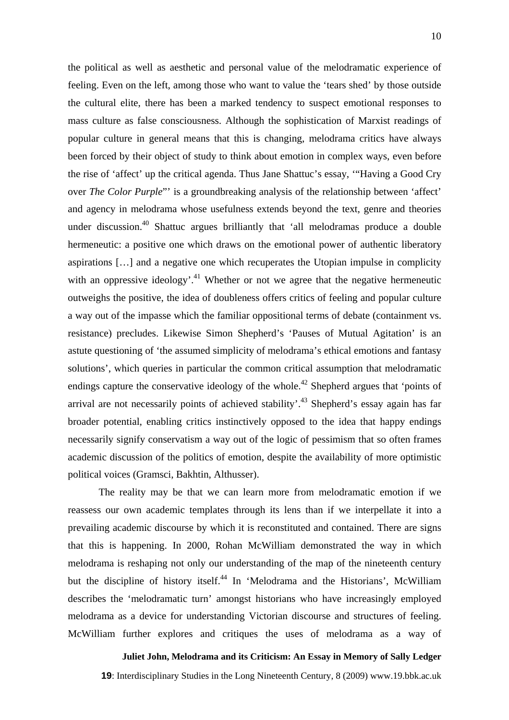the political as well as aesthetic and personal value of the melodramatic experience of feeling. Even on the left, among those who want to value the 'tears shed' by those outside the cultural elite, there has been a marked tendency to suspect emotional responses to mass culture as false consciousness. Although the sophistication of Marxist readings of popular culture in general means that this is changing, melodrama critics have always been forced by their object of study to think about emotion in complex ways, even before the rise of 'affect' up the critical agenda. Thus Jane Shattuc's essay, '"Having a Good Cry over *The Color Purple*"' is a groundbreaking analysis of the relationship between 'affect' and agency in melodrama whose usefulness extends beyond the text, genre and theories under discussion.<sup>40</sup> Shattuc argues brilliantly that 'all melodramas produce a double hermeneutic: a positive one which draws on the emotional power of authentic liberatory aspirations […] and a negative one which recuperates the Utopian impulse in complicity with an oppressive ideology'.<sup>41</sup> Whether or not we agree that the negative hermeneutic outweighs the positive, the idea of doubleness offers critics of feeling and popular culture a way out of the impasse which the familiar oppositional terms of debate (containment vs. resistance) precludes. Likewise Simon Shepherd's 'Pauses of Mutual Agitation' is an astute questioning of 'the assumed simplicity of melodrama's ethical emotions and fantasy solutions', which queries in particular the common critical assumption that melodramatic endings capture the conservative ideology of the whole.<sup>42</sup> Shepherd argues that 'points of arrival are not necessarily points of achieved stability'.<sup>43</sup> Shepherd's essay again has far broader potential, enabling critics instinctively opposed to the idea that happy endings necessarily signify conservatism a way out of the logic of pessimism that so often frames academic discussion of the politics of emotion, despite the availability of more optimistic political voices (Gramsci, Bakhtin, Althusser).

The reality may be that we can learn more from melodramatic emotion if we reassess our own academic templates through its lens than if we interpellate it into a prevailing academic discourse by which it is reconstituted and contained. There are signs that this is happening. In 2000, Rohan McWilliam demonstrated the way in which melodrama is reshaping not only our understanding of the map of the nineteenth century but the discipline of history itself.<sup>44</sup> In 'Melodrama and the Historians', McWilliam describes the 'melodramatic turn' amongst historians who have increasingly employed melodrama as a device for understanding Victorian discourse and structures of feeling. McWilliam further explores and critiques the uses of melodrama as a way of

**Juliet John, Melodrama and its Criticism: An Essay in Memory of Sally Ledger**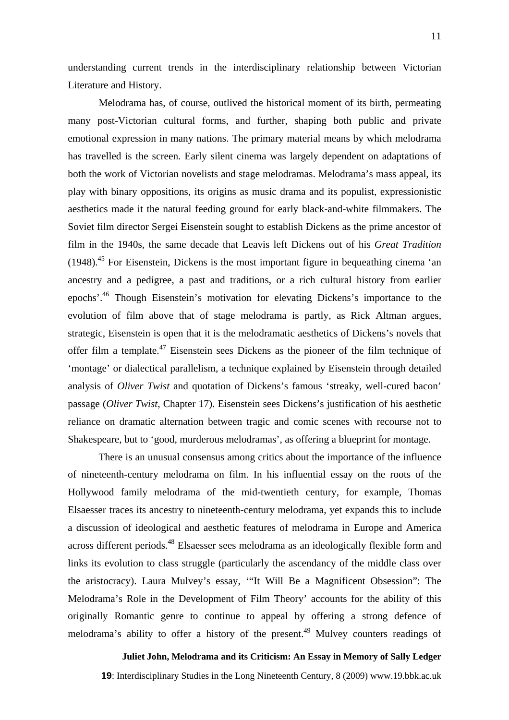understanding current trends in the interdisciplinary relationship between Victorian Literature and History.

Melodrama has, of course, outlived the historical moment of its birth, permeating many post-Victorian cultural forms, and further, shaping both public and private emotional expression in many nations. The primary material means by which melodrama has travelled is the screen. Early silent cinema was largely dependent on adaptations of both the work of Victorian novelists and stage melodramas. Melodrama's mass appeal, its play with binary oppositions, its origins as music drama and its populist, expressionistic aesthetics made it the natural feeding ground for early black-and-white filmmakers. The Soviet film director Sergei Eisenstein sought to establish Dickens as the prime ancestor of film in the 1940s, the same decade that Leavis left Dickens out of his *Great Tradition*  $(1948).$ <sup>45</sup> For Eisenstein, Dickens is the most important figure in bequeathing cinema 'an ancestry and a pedigree, a past and traditions, or a rich cultural history from earlier epochs'.46 Though Eisenstein's motivation for elevating Dickens's importance to the evolution of film above that of stage melodrama is partly, as Rick Altman argues, strategic, Eisenstein is open that it is the melodramatic aesthetics of Dickens's novels that offer film a template.<sup>47</sup> Eisenstein sees Dickens as the pioneer of the film technique of 'montage' or dialectical parallelism, a technique explained by Eisenstein through detailed analysis of *Oliver Twist* and quotation of Dickens's famous 'streaky, well-cured bacon' passage (*Oliver Twist*, Chapter 17). Eisenstein sees Dickens's justification of his aesthetic reliance on dramatic alternation between tragic and comic scenes with recourse not to Shakespeare, but to 'good, murderous melodramas', as offering a blueprint for montage.

There is an unusual consensus among critics about the importance of the influence of nineteenth-century melodrama on film. In his influential essay on the roots of the Hollywood family melodrama of the mid-twentieth century, for example, Thomas Elsaesser traces its ancestry to nineteenth-century melodrama, yet expands this to include a discussion of ideological and aesthetic features of melodrama in Europe and America across different periods.<sup>48</sup> Elsaesser sees melodrama as an ideologically flexible form and links its evolution to class struggle (particularly the ascendancy of the middle class over the aristocracy). Laura Mulvey's essay, '"It Will Be a Magnificent Obsession": The Melodrama's Role in the Development of Film Theory' accounts for the ability of this originally Romantic genre to continue to appeal by offering a strong defence of melodrama's ability to offer a history of the present.<sup>49</sup> Mulvey counters readings of

**Juliet John, Melodrama and its Criticism: An Essay in Memory of Sally Ledger**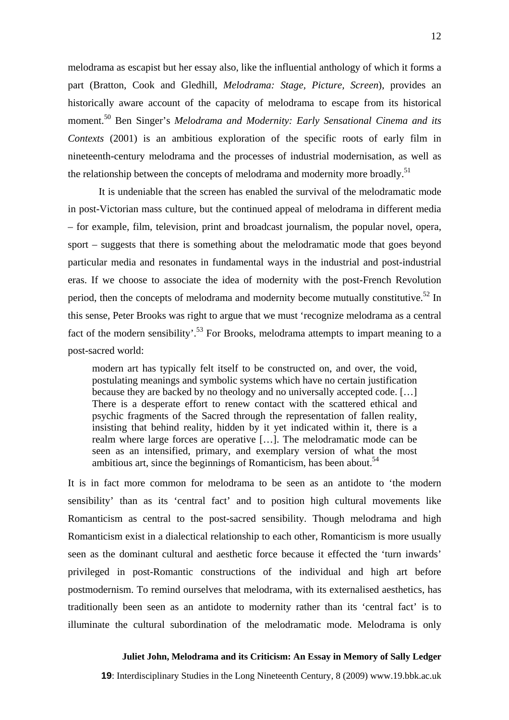melodrama as escapist but her essay also, like the influential anthology of which it forms a part (Bratton, Cook and Gledhill, *Melodrama: Stage, Picture, Screen*), provides an historically aware account of the capacity of melodrama to escape from its historical moment.50 Ben Singer's *Melodrama and Modernity: Early Sensational Cinema and its Contexts* (2001) is an ambitious exploration of the specific roots of early film in nineteenth-century melodrama and the processes of industrial modernisation, as well as the relationship between the concepts of melodrama and modernity more broadly.<sup>51</sup>

It is undeniable that the screen has enabled the survival of the melodramatic mode in post-Victorian mass culture, but the continued appeal of melodrama in different media – for example, film, television, print and broadcast journalism, the popular novel, opera, sport – suggests that there is something about the melodramatic mode that goes beyond particular media and resonates in fundamental ways in the industrial and post-industrial eras. If we choose to associate the idea of modernity with the post-French Revolution period, then the concepts of melodrama and modernity become mutually constitutive.<sup>52</sup> In this sense, Peter Brooks was right to argue that we must 'recognize melodrama as a central fact of the modern sensibility'.<sup>53</sup> For Brooks, melodrama attempts to impart meaning to a post-sacred world:

modern art has typically felt itself to be constructed on, and over, the void, postulating meanings and symbolic systems which have no certain justification because they are backed by no theology and no universally accepted code. […] There is a desperate effort to renew contact with the scattered ethical and psychic fragments of the Sacred through the representation of fallen reality, insisting that behind reality, hidden by it yet indicated within it, there is a realm where large forces are operative […]. The melodramatic mode can be seen as an intensified, primary, and exemplary version of what the most ambitious art, since the beginnings of Romanticism, has been about.<sup>54</sup>

It is in fact more common for melodrama to be seen as an antidote to 'the modern sensibility' than as its 'central fact' and to position high cultural movements like Romanticism as central to the post-sacred sensibility. Though melodrama and high Romanticism exist in a dialectical relationship to each other, Romanticism is more usually seen as the dominant cultural and aesthetic force because it effected the 'turn inwards' privileged in post-Romantic constructions of the individual and high art before postmodernism. To remind ourselves that melodrama, with its externalised aesthetics, has traditionally been seen as an antidote to modernity rather than its 'central fact' is to illuminate the cultural subordination of the melodramatic mode. Melodrama is only

### **Juliet John, Melodrama and its Criticism: An Essay in Memory of Sally Ledger**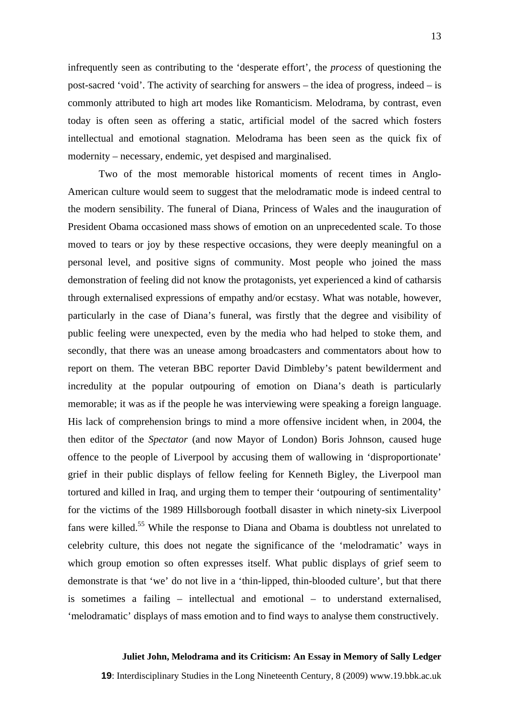infrequently seen as contributing to the 'desperate effort', the *process* of questioning the post-sacred 'void'. The activity of searching for answers – the idea of progress, indeed – is commonly attributed to high art modes like Romanticism. Melodrama, by contrast, even today is often seen as offering a static, artificial model of the sacred which fosters intellectual and emotional stagnation. Melodrama has been seen as the quick fix of modernity – necessary, endemic, yet despised and marginalised.

Two of the most memorable historical moments of recent times in Anglo-American culture would seem to suggest that the melodramatic mode is indeed central to the modern sensibility. The funeral of Diana, Princess of Wales and the inauguration of President Obama occasioned mass shows of emotion on an unprecedented scale. To those moved to tears or joy by these respective occasions, they were deeply meaningful on a personal level, and positive signs of community. Most people who joined the mass demonstration of feeling did not know the protagonists, yet experienced a kind of catharsis through externalised expressions of empathy and/or ecstasy. What was notable, however, particularly in the case of Diana's funeral, was firstly that the degree and visibility of public feeling were unexpected, even by the media who had helped to stoke them, and secondly, that there was an unease among broadcasters and commentators about how to report on them. The veteran BBC reporter David Dimbleby's patent bewilderment and incredulity at the popular outpouring of emotion on Diana's death is particularly memorable; it was as if the people he was interviewing were speaking a foreign language. His lack of comprehension brings to mind a more offensive incident when, in 2004, the then editor of the *Spectator* (and now Mayor of London) Boris Johnson, caused huge offence to the people of Liverpool by accusing them of wallowing in 'disproportionate' grief in their public displays of fellow feeling for Kenneth Bigley, the Liverpool man tortured and killed in Iraq, and urging them to temper their 'outpouring of sentimentality' for the victims of the 1989 Hillsborough football disaster in which ninety-six Liverpool fans were killed.<sup>55</sup> While the response to Diana and Obama is doubtless not unrelated to celebrity culture, this does not negate the significance of the 'melodramatic' ways in which group emotion so often expresses itself. What public displays of grief seem to demonstrate is that 'we' do not live in a 'thin-lipped, thin-blooded culture', but that there is sometimes a failing – intellectual and emotional – to understand externalised, 'melodramatic' displays of mass emotion and to find ways to analyse them constructively.

### **Juliet John, Melodrama and its Criticism: An Essay in Memory of Sally Ledger**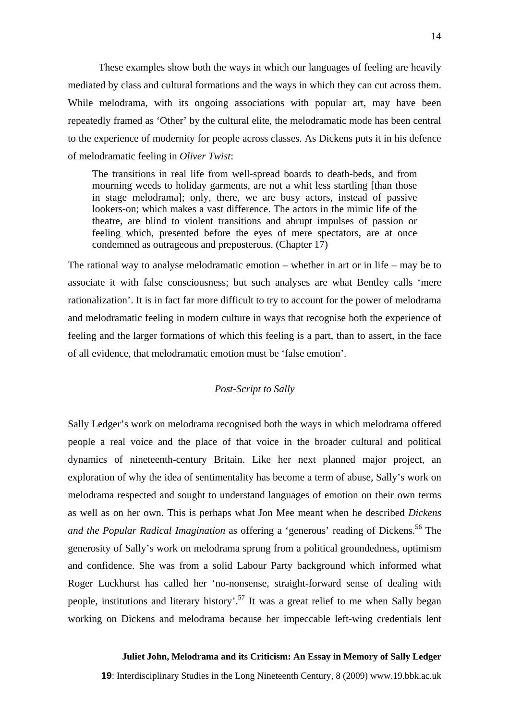These examples show both the ways in which our languages of feeling are heavily mediated by class and cultural formations and the ways in which they can cut across them. While melodrama, with its ongoing associations with popular art, may have been repeatedly framed as 'Other' by the cultural elite, the melodramatic mode has been central to the experience of modernity for people across classes. As Dickens puts it in his defence of melodramatic feeling in *Oliver Twist*:

The transitions in real life from well-spread boards to death-beds, and from mourning weeds to holiday garments, are not a whit less startling [than those in stage melodrama]; only, there, we are busy actors, instead of passive lookers-on; which makes a vast difference. The actors in the mimic life of the theatre, are blind to violent transitions and abrupt impulses of passion or feeling which, presented before the eyes of mere spectators, are at once condemned as outrageous and preposterous. (Chapter 17)

The rational way to analyse melodramatic emotion – whether in art or in life – may be to associate it with false consciousness; but such analyses are what Bentley calls 'mere rationalization'. It is in fact far more difficult to try to account for the power of melodrama and melodramatic feeling in modern culture in ways that recognise both the experience of feeling and the larger formations of which this feeling is a part, than to assert, in the face of all evidence, that melodramatic emotion must be 'false emotion'.

### *Post-Script to Sally*

Sally Ledger's work on melodrama recognised both the ways in which melodrama offered people a real voice and the place of that voice in the broader cultural and political dynamics of nineteenth-century Britain. Like her next planned major project, an exploration of why the idea of sentimentality has become a term of abuse, Sally's work on melodrama respected and sought to understand languages of emotion on their own terms as well as on her own. This is perhaps what Jon Mee meant when he described *Dickens and the Popular Radical Imagination* as offering a 'generous' reading of Dickens.<sup>56</sup> The generosity of Sally's work on melodrama sprung from a political groundedness, optimism and confidence. She was from a solid Labour Party background which informed what Roger Luckhurst has called her 'no-nonsense, straight-forward sense of dealing with people, institutions and literary history'.57 It was a great relief to me when Sally began working on Dickens and melodrama because her impeccable left-wing credentials lent

### **Juliet John, Melodrama and its Criticism: An Essay in Memory of Sally Ledger**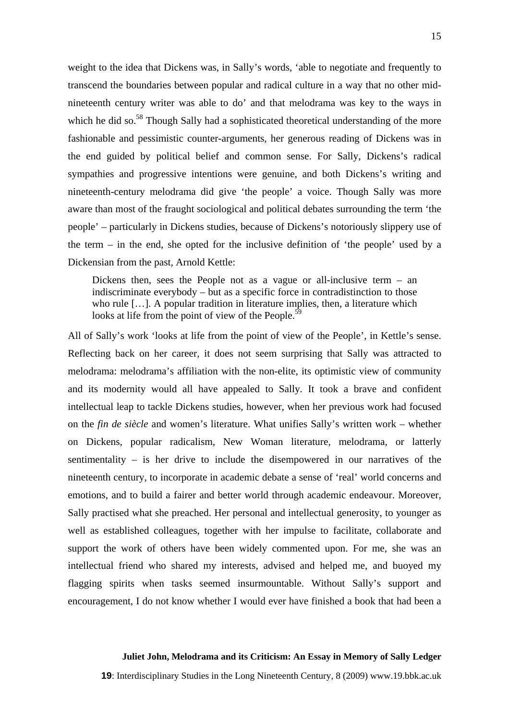weight to the idea that Dickens was, in Sally's words, 'able to negotiate and frequently to transcend the boundaries between popular and radical culture in a way that no other midnineteenth century writer was able to do' and that melodrama was key to the ways in which he did so. $58$  Though Sally had a sophisticated theoretical understanding of the more fashionable and pessimistic counter-arguments, her generous reading of Dickens was in the end guided by political belief and common sense. For Sally, Dickens's radical sympathies and progressive intentions were genuine, and both Dickens's writing and nineteenth-century melodrama did give 'the people' a voice. Though Sally was more aware than most of the fraught sociological and political debates surrounding the term 'the people' – particularly in Dickens studies, because of Dickens's notoriously slippery use of the term – in the end, she opted for the inclusive definition of 'the people' used by a Dickensian from the past, Arnold Kettle:

Dickens then, sees the People not as a vague or all-inclusive term  $-$  an indiscriminate everybody – but as a specific force in contradistinction to those who rule [...]. A popular tradition in literature implies, then, a literature which looks at life from the point of view of the People.<sup>59</sup>

All of Sally's work 'looks at life from the point of view of the People', in Kettle's sense. Reflecting back on her career, it does not seem surprising that Sally was attracted to melodrama: melodrama's affiliation with the non-elite, its optimistic view of community and its modernity would all have appealed to Sally. It took a brave and confident intellectual leap to tackle Dickens studies, however, when her previous work had focused on the *fin de siècle* and women's literature. What unifies Sally's written work – whether on Dickens, popular radicalism, New Woman literature, melodrama, or latterly sentimentality – is her drive to include the disempowered in our narratives of the nineteenth century, to incorporate in academic debate a sense of 'real' world concerns and emotions, and to build a fairer and better world through academic endeavour. Moreover, Sally practised what she preached. Her personal and intellectual generosity, to younger as well as established colleagues, together with her impulse to facilitate, collaborate and support the work of others have been widely commented upon. For me, she was an intellectual friend who shared my interests, advised and helped me, and buoyed my flagging spirits when tasks seemed insurmountable. Without Sally's support and encouragement, I do not know whether I would ever have finished a book that had been a

### **Juliet John, Melodrama and its Criticism: An Essay in Memory of Sally Ledger**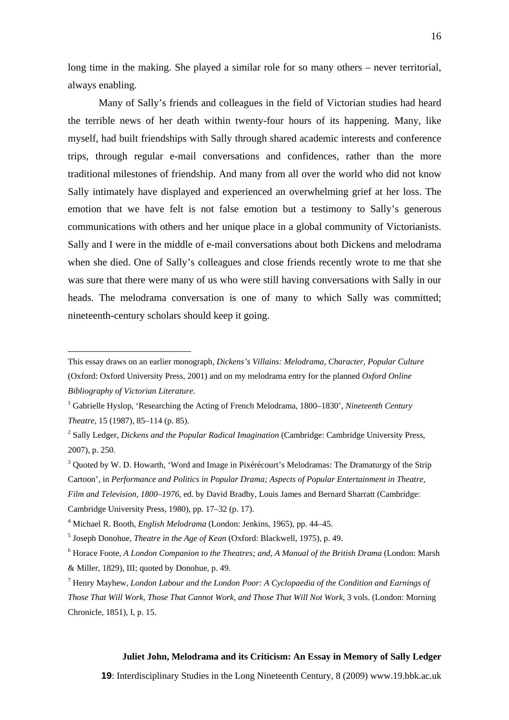long time in the making. She played a similar role for so many others – never territorial, always enabling.

Many of Sally's friends and colleagues in the field of Victorian studies had heard the terrible news of her death within twenty-four hours of its happening. Many, like myself, had built friendships with Sally through shared academic interests and conference trips, through regular e-mail conversations and confidences, rather than the more traditional milestones of friendship. And many from all over the world who did not know Sally intimately have displayed and experienced an overwhelming grief at her loss. The emotion that we have felt is not false emotion but a testimony to Sally's generous communications with others and her unique place in a global community of Victorianists. Sally and I were in the middle of e-mail conversations about both Dickens and melodrama when she died. One of Sally's colleagues and close friends recently wrote to me that she was sure that there were many of us who were still having conversations with Sally in our heads. The melodrama conversation is one of many to which Sally was committed; nineteenth-century scholars should keep it going.

 $\overline{a}$ 

### **Juliet John, Melodrama and its Criticism: An Essay in Memory of Sally Ledger**

This essay draws on an earlier monograph, *Dickens's Villains: Melodrama, Character, Popular Culture* (Oxford: Oxford University Press, 2001) and on my melodrama entry for the planned *Oxford Online Bibliography of Victorian Literature*.

<sup>&</sup>lt;sup>1</sup> Gabrielle Hyslop, 'Researching the Acting of French Melodrama, 1800–1830', *Nineteenth Century Theatre*, 15 (1987), 85–114 (p. 85).

<sup>2</sup> Sally Ledger, *Dickens and the Popular Radical Imagination* (Cambridge: Cambridge University Press, 2007), p. 250.

<sup>&</sup>lt;sup>3</sup> Quoted by W. D. Howarth, 'Word and Image in Pixérécourt's Melodramas: The Dramaturgy of the Strip Cartoon', in *Performance and Politics in Popular Drama; Aspects of Popular Entertainment in Theatre, Film and Television, 1800–1976*, ed. by David Bradby, Louis James and Bernard Sharratt (Cambridge: Cambridge University Press, 1980), pp. 17–32 (p. 17).

<sup>4</sup> Michael R. Booth, *English Melodrama* (London: Jenkins, 1965), pp. 44–45.

<sup>5</sup> Joseph Donohue, *Theatre in the Age of Kean* (Oxford: Blackwell, 1975), p. 49.

<sup>6</sup> Horace Foote, *A London Companion to the Theatres; and, A Manual of the British Drama* (London: Marsh & Miller, 1829), III; quoted by Donohue, p. 49.

<sup>7</sup> Henry Mayhew, *London Labour and the London Poor: A Cyclopaedia of the Condition and Earnings of* 

*Those That Will Work, Those That Cannot Work, and Those That Will Not Work*, 3 vols. (London: Morning Chronicle, 1851), I, p. 15.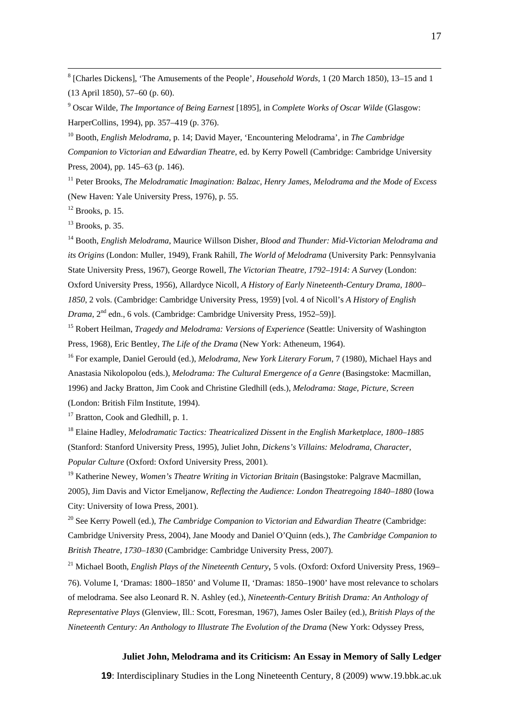8 [Charles Dickens], 'The Amusements of the People', *Household Words*, 1 (20 March 1850), 13–15 and 1 (13 April 1850), 57–60 (p. 60).

9 Oscar Wilde, *The Importance of Being Earnest* [1895], in *Complete Works of Oscar Wilde* (Glasgow: HarperCollins, 1994), pp. 357–419 (p. 376).

10 Booth, *English Melodrama*, p. 14; David Mayer, 'Encountering Melodrama', in *The Cambridge Companion to Victorian and Edwardian Theatre*, ed. by Kerry Powell (Cambridge: Cambridge University Press, 2004), pp. 145–63 (p. 146).

<sup>11</sup> Peter Brooks, *The Melodramatic Imagination: Balzac, Henry James, Melodrama and the Mode of Excess* (New Haven: Yale University Press, 1976), p. 55.

 $12$  Brooks, p. 15.

 $13$  Brooks, p. 35.

14 Booth, *English Melodrama*, Maurice Willson Disher, *Blood and Thunder: Mid-Victorian Melodrama and its Origins* (London: Muller, 1949), Frank Rahill, *The World of Melodrama* (University Park: Pennsylvania State University Press, 1967), George Rowell, *The Victorian Theatre, 1792–1914: A Survey* (London: Oxford University Press, 1956), Allardyce Nicoll, *A History of Early Nineteenth-Century Drama, 1800– 1850*, 2 vols. (Cambridge: Cambridge University Press, 1959) [vol. 4 of Nicoll's *A History of English Drama*, 2nd edn., 6 vols. (Cambridge: Cambridge University Press, 1952–59)].

15 Robert Heilman, *Tragedy and Melodrama: Versions of Experience* (Seattle: University of Washington Press, 1968), Eric Bentley, *The Life of the Drama* (New York: Atheneum, 1964).

16 For example, Daniel Gerould (ed.), *Melodrama*, *New York Literary Forum*, 7 (1980), Michael Hays and Anastasia Nikolopolou (eds.), *Melodrama: The Cultural Emergence of a Genre* (Basingstoke: Macmillan, 1996) and Jacky Bratton, Jim Cook and Christine Gledhill (eds.), *Melodrama: Stage, Picture, Screen* (London: British Film Institute, 1994).

<sup>17</sup> Bratton, Cook and Gledhill, p. 1.

18 Elaine Hadley, *Melodramatic Tactics: Theatricalized Dissent in the English Marketplace, 1800–1885* (Stanford: Stanford University Press, 1995), Juliet John, *Dickens's Villains: Melodrama, Character, Popular Culture* (Oxford: Oxford University Press, 2001).

19 Katherine Newey, *Women's Theatre Writing in Victorian Britain* (Basingstoke: Palgrave Macmillan, 2005), Jim Davis and Victor Emeljanow, *Reflecting the Audience: London Theatregoing 1840–1880* (Iowa City: University of Iowa Press, 2001).

<sup>20</sup> See Kerry Powell (ed.), *The Cambridge Companion to Victorian and Edwardian Theatre* (Cambridge: Cambridge University Press, 2004), Jane Moody and Daniel O'Quinn (eds.), *The Cambridge Companion to British Theatre, 1730–1830* (Cambridge: Cambridge University Press, 2007).

<sup>21</sup> Michael Booth, *English Plays of the Nineteenth Century*, 5 vols. (Oxford: Oxford University Press, 1969– 76). Volume I, 'Dramas: 1800–1850' and Volume II, 'Dramas: 1850–1900' have most relevance to scholars of melodrama. See also Leonard R. N. Ashley (ed.), *Nineteenth-Century British Drama: An Anthology of Representative Plays* (Glenview, Ill.: Scott, Foresman, 1967), James Osler Bailey (ed.), *British Plays of the Nineteenth Century: An Anthology to Illustrate The Evolution of the Drama* (New York: Odyssey Press,

## **Juliet John, Melodrama and its Criticism: An Essay in Memory of Sally Ledger**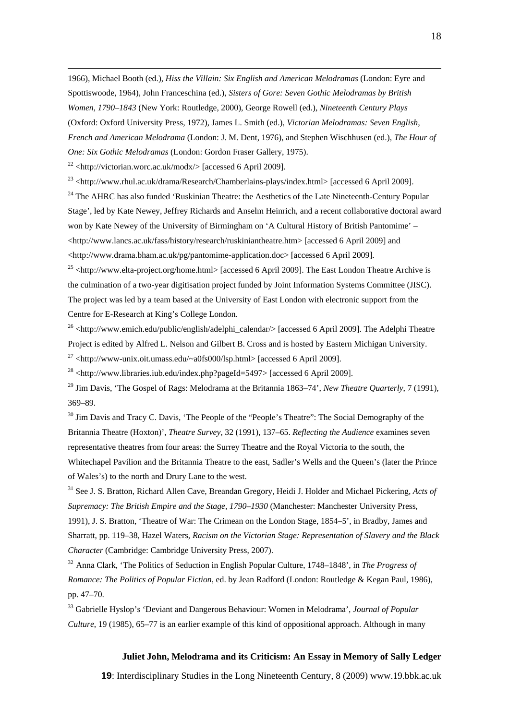1966), Michael Booth (ed.), *Hiss the Villain: Six English and American Melodramas* (London: Eyre and Spottiswoode, 1964), John Franceschina (ed.), *Sisters of Gore: Seven Gothic Melodramas by British Women, 1790–1843* (New York: Routledge, 2000), George Rowell (ed.), *Nineteenth Century Plays* (Oxford: Oxford University Press, 1972), James L. Smith (ed.), *Victorian Melodramas: Seven English, French and American Melodrama* (London: J. M. Dent, 1976), and Stephen Wischhusen (ed.), *The Hour of One: Six Gothic Melodramas* (London: Gordon Fraser Gallery, 1975).

 $22$  [<http://victorian.worc.ac.uk/modx/](http://victorian.worc.ac.uk/modx/)> [accessed 6 April 2009].

 $^{23}$  [<http://www.rhul.ac.uk/drama/Research/Chamberlains-plays/index.html>](http://www.rhul.ac.uk/Drama/Research/chamberlains-plays/index.html) [accessed 6 April 2009].

<sup>24</sup> The AHRC has also funded 'Ruskinian Theatre: the Aesthetics of the Late Nineteenth-Century Popular Stage', led by Kate Newey, Jeffrey Richards and Anselm Heinrich, and a recent collaborative doctoral award won by Kate Newey of the University of Birmingham on 'A Cultural History of British Pantomime' – [<http://www.lancs.ac.uk/fass/history/research/ruskiniantheatre.htm>](http://www.lancs.ac.uk/fass/history/research/ruskiniantheatre.htm) [accessed 6 April 2009] and [<http://www.drama.bham.ac.uk/pg/pantomime-application.doc>](http://www.drama.bham.ac.uk/pg/pantomime-application.doc) [accessed 6 April 2009].

 $^{25}$  [<http://www.elta-project.org/home.html](http://www.elta-project.org/home.html)> [accessed 6 April 2009]. The East London Theatre Archive is the culmination of a two-year digitisation project funded by Joint Information Systems Committee (JISC). The project was led by a team based at the University of East London with electronic support from the Centre for E-Research at King's College London.

<sup>26</sup> [<http://www.emich.edu/public/english/adelphi\\_calendar/>](http://www.emich.edu/public/english/adelphi_calendar/) [accessed 6 April 2009]. The Adelphi Theatre Project is edited by Alfred L. Nelson and Gilbert B. Cross and is hosted by Eastern Michigan University.

 $^{27}$  [<http://www-unix.oit.umass.edu/~a0fs000/lsp.html](http://www-unix.oit.umass.edu/~a0fs000/lsp.html)> [accessed 6 April 2009].

 $^{28}$  [<http://www.libraries.iub.edu/index.php?pageId=5497>](http://www.libraries.iub.edu/index.php?pageId=5497) [accessed 6 April 2009].

<sup>29</sup> Jim Davis, 'The Gospel of Rags: Melodrama at the Britannia 1863–74', *New Theatre Quarterly*, 7 (1991), 369–89.

<sup>30</sup> Jim Davis and Tracy C. Davis, 'The People of the "People's Theatre": The Social Demography of the Britannia Theatre (Hoxton)', *Theatre Survey*, 32 (1991), 137–65. *Reflecting the Audience* examines seven representative theatres from four areas: the Surrey Theatre and the Royal Victoria to the south, the Whitechapel Pavilion and the Britannia Theatre to the east, Sadler's Wells and the Queen's (later the Prince of Wales's) to the north and Drury Lane to the west.

31 See J. S. Bratton, Richard Allen Cave, Breandan Gregory, Heidi J. Holder and Michael Pickering, *Acts of Supremacy: The British Empire and the Stage, 1790–1930* (Manchester: Manchester University Press, 1991), J. S. Bratton, 'Theatre of War: The Crimean on the London Stage, 1854–5', in Bradby, James and Sharratt, pp. 119–38, Hazel Waters, *Racism on the Victorian Stage: Representation of Slavery and the Black Character* (Cambridge: Cambridge University Press, 2007).

<sup>32</sup> Anna Clark, 'The Politics of Seduction in English Popular Culture, 1748–1848', in *The Progress of Romance: The Politics of Popular Fiction*, ed. by Jean Radford (London: Routledge & Kegan Paul, 1986), pp. 47–70.

33 Gabrielle Hyslop's 'Deviant and Dangerous Behaviour: Women in Melodrama', *Journal of Popular Culture*, 19 (1985), 65–77 is an earlier example of this kind of oppositional approach. Although in many

### **Juliet John, Melodrama and its Criticism: An Essay in Memory of Sally Ledger**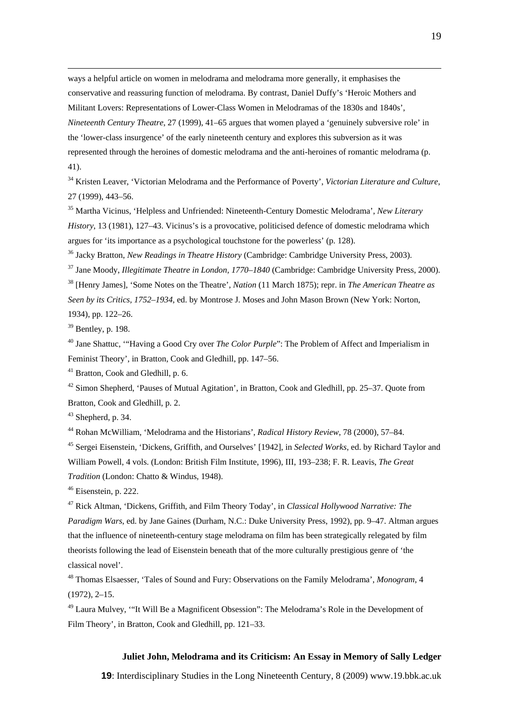ways a helpful article on women in melodrama and melodrama more generally, it emphasises the conservative and reassuring function of melodrama. By contrast, Daniel Duffy's 'Heroic Mothers and Militant Lovers: Representations of Lower-Class Women in Melodramas of the 1830s and 1840s', *Nineteenth Century Theatre*, 27 (1999), 41–65 argues that women played a 'genuinely subversive role' in the 'lower-class insurgence' of the early nineteenth century and explores this subversion as it was represented through the heroines of domestic melodrama and the anti-heroines of romantic melodrama (p. 41).

34 Kristen Leaver, 'Victorian Melodrama and the Performance of Poverty', *Victorian Literature and Culture*, 27 (1999), 443–56.

35 Martha Vicinus, 'Helpless and Unfriended: Nineteenth-Century Domestic Melodrama', *New Literary History*, 13 (1981), 127–43. Vicinus's is a provocative, politicised defence of domestic melodrama which argues for 'its importance as a psychological touchstone for the powerless' (p. 128).

36 Jacky Bratton, *New Readings in Theatre History* (Cambridge: Cambridge University Press, 2003).

37 Jane Moody, *Illegitimate Theatre in London, 1770–1840* (Cambridge: Cambridge University Press, 2000).

38 [Henry James], 'Some Notes on the Theatre', *Nation* (11 March 1875); repr. in *The American Theatre as Seen by its Critics, 1752–1934*, ed. by Montrose J. Moses and John Mason Brown (New York: Norton, 1934), pp. 122–26.

 $39$  Bentley, p. 198.

40 Jane Shattuc, '"Having a Good Cry over *The Color Purple*": The Problem of Affect and Imperialism in Feminist Theory', in Bratton, Cook and Gledhill, pp. 147–56.

<sup>41</sup> Bratton, Cook and Gledhill, p. 6.

42 Simon Shepherd, 'Pauses of Mutual Agitation', in Bratton, Cook and Gledhill, pp. 25–37. Quote from Bratton, Cook and Gledhill, p. 2.

 $43$  Shepherd, p. 34.

44 Rohan McWilliam, 'Melodrama and the Historians', *Radical History Review*, 78 (2000), 57–84.

45 Sergei Eisenstein, 'Dickens, Griffith, and Ourselves' [1942], in *Selected Works*, ed. by Richard Taylor and William Powell, 4 vols. (London: British Film Institute, 1996), III, 193–238; F. R. Leavis, *The Great Tradition* (London: Chatto & Windus, 1948).

46 Eisenstein, p. 222.

47 Rick Altman, 'Dickens, Griffith, and Film Theory Today', in *Classical Hollywood Narrative: The Paradigm Wars*, ed. by Jane Gaines (Durham, N.C.: Duke University Press, 1992), pp. 9–47. Altman argues that the influence of nineteenth-century stage melodrama on film has been strategically relegated by film theorists following the lead of Eisenstein beneath that of the more culturally prestigious genre of 'the classical novel'.

48 Thomas Elsaesser, 'Tales of Sound and Fury: Observations on the Family Melodrama', *Monogram*, 4 (1972), 2–15.

49 Laura Mulvey, '"It Will Be a Magnificent Obsession": The Melodrama's Role in the Development of Film Theory', in Bratton, Cook and Gledhill, pp. 121–33.

### **Juliet John, Melodrama and its Criticism: An Essay in Memory of Sally Ledger**